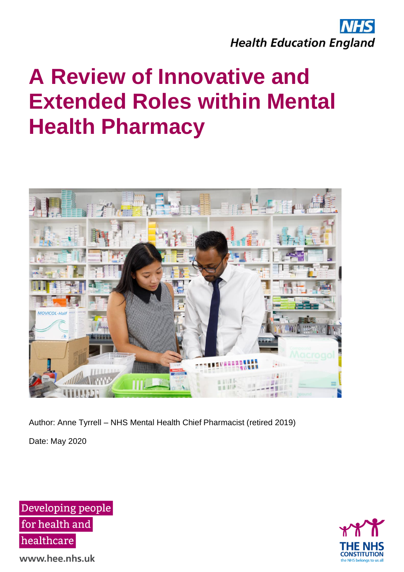



Author: Anne Tyrrell – NHS Mental Health Chief Pharmacist (retired 2019)

Date: May 2020

Developing people for health and healthcare



www.hee.nhs.uk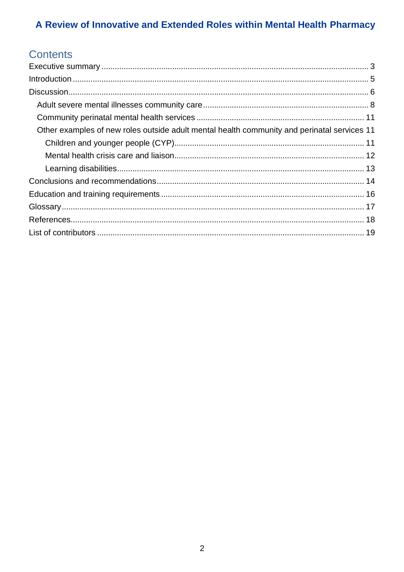# Contents

| Other examples of new roles outside adult mental health community and perinatal services 11 |  |
|---------------------------------------------------------------------------------------------|--|
|                                                                                             |  |
|                                                                                             |  |
|                                                                                             |  |
|                                                                                             |  |
|                                                                                             |  |
|                                                                                             |  |
|                                                                                             |  |
|                                                                                             |  |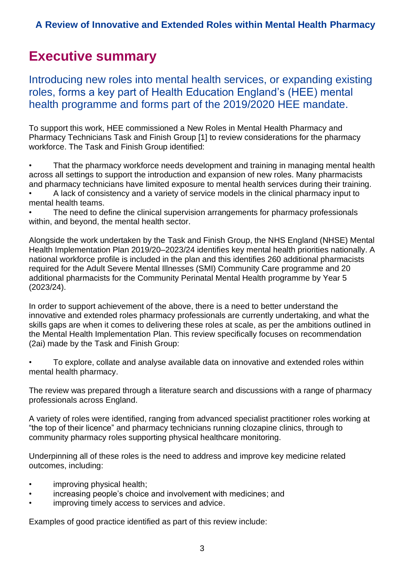# <span id="page-2-0"></span>**Executive summary**

Introducing new roles into mental health services, or expanding existing roles, forms a key part of Health Education England's (HEE) mental health programme and forms part of the 2019/2020 HEE mandate.

To support this work, HEE commissioned a New Roles in Mental Health Pharmacy and Pharmacy Technicians Task and Finish Group [1] to review considerations for the pharmacy workforce. The Task and Finish Group identified:

• That the pharmacy workforce needs development and training in managing mental health across all settings to support the introduction and expansion of new roles. Many pharmacists and pharmacy technicians have limited exposure to mental health services during their training.

• A lack of consistency and a variety of service models in the clinical pharmacy input to mental health teams.

The need to define the clinical supervision arrangements for pharmacy professionals within, and beyond, the mental health sector.

Alongside the work undertaken by the Task and Finish Group, the NHS England (NHSE) Mental Health Implementation Plan 2019/20–2023/24 identifies key mental health priorities nationally. A national workforce profile is included in the plan and this identifies 260 additional pharmacists required for the Adult Severe Mental Illnesses (SMI) Community Care programme and 20 additional pharmacists for the Community Perinatal Mental Health programme by Year 5 (2023/24).

In order to support achievement of the above, there is a need to better understand the innovative and extended roles pharmacy professionals are currently undertaking, and what the skills gaps are when it comes to delivering these roles at scale, as per the ambitions outlined in the Mental Health Implementation Plan. This review specifically focuses on recommendation (2ai) made by the Task and Finish Group:

• To explore, collate and analyse available data on innovative and extended roles within mental health pharmacy.

The review was prepared through a literature search and discussions with a range of pharmacy professionals across England.

A variety of roles were identified, ranging from advanced specialist practitioner roles working at "the top of their licence" and pharmacy technicians running clozapine clinics, through to community pharmacy roles supporting physical healthcare monitoring.

Underpinning all of these roles is the need to address and improve key medicine related outcomes, including:

- improving physical health;
- increasing people's choice and involvement with medicines; and
- improving timely access to services and advice.

Examples of good practice identified as part of this review include: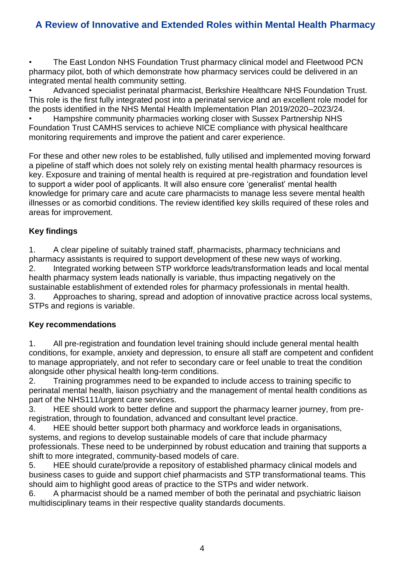• The East London NHS Foundation Trust pharmacy clinical model and Fleetwood PCN pharmacy pilot, both of which demonstrate how pharmacy services could be delivered in an integrated mental health community setting.

• Advanced specialist perinatal pharmacist, Berkshire Healthcare NHS Foundation Trust. This role is the first fully integrated post into a perinatal service and an excellent role model for the posts identified in the NHS Mental Health Implementation Plan 2019/2020–2023/24.

• Hampshire community pharmacies working closer with Sussex Partnership NHS Foundation Trust CAMHS services to achieve NICE compliance with physical healthcare monitoring requirements and improve the patient and carer experience.

For these and other new roles to be established, fully utilised and implemented moving forward a pipeline of staff which does not solely rely on existing mental health pharmacy resources is key. Exposure and training of mental health is required at pre-registration and foundation level to support a wider pool of applicants. It will also ensure core 'generalist' mental health knowledge for primary care and acute care pharmacists to manage less severe mental health illnesses or as comorbid conditions. The review identified key skills required of these roles and areas for improvement.

#### **Key findings**

1. A clear pipeline of suitably trained staff, pharmacists, pharmacy technicians and pharmacy assistants is required to support development of these new ways of working. 2. Integrated working between STP workforce leads/transformation leads and local mental health pharmacy system leads nationally is variable, thus impacting negatively on the sustainable establishment of extended roles for pharmacy professionals in mental health. 3. Approaches to sharing, spread and adoption of innovative practice across local systems, STPs and regions is variable.

#### **Key recommendations**

1. All pre-registration and foundation level training should include general mental health conditions, for example, anxiety and depression, to ensure all staff are competent and confident to manage appropriately, and not refer to secondary care or feel unable to treat the condition alongside other physical health long-term conditions.

2. Training programmes need to be expanded to include access to training specific to perinatal mental health, liaison psychiatry and the management of mental health conditions as part of the NHS111/urgent care services.

3. HEE should work to better define and support the pharmacy learner journey, from preregistration, through to foundation, advanced and consultant level practice.

4. HEE should better support both pharmacy and workforce leads in organisations, systems, and regions to develop sustainable models of care that include pharmacy professionals. These need to be underpinned by robust education and training that supports a shift to more integrated, community-based models of care.

5. HEE should curate/provide a repository of established pharmacy clinical models and business cases to guide and support chief pharmacists and STP transformational teams. This should aim to highlight good areas of practice to the STPs and wider network.

6. A pharmacist should be a named member of both the perinatal and psychiatric liaison multidisciplinary teams in their respective quality standards documents.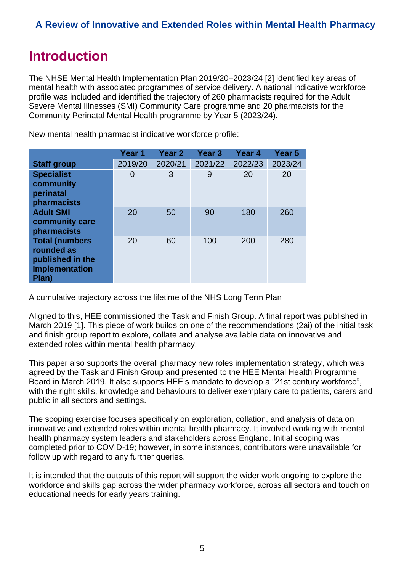# <span id="page-4-0"></span>**Introduction**

The NHSE Mental Health Implementation Plan 2019/20–2023/24 [2] identified key areas of mental health with associated programmes of service delivery. A national indicative workforce profile was included and identified the trajectory of 260 pharmacists required for the Adult Severe Mental Illnesses (SMI) Community Care programme and 20 pharmacists for the Community Perinatal Mental Health programme by Year 5 (2023/24).

|                                                                                           | Year 1  | Year <sub>2</sub> | Year <sub>3</sub> | Year <sub>4</sub> | Year 5  |
|-------------------------------------------------------------------------------------------|---------|-------------------|-------------------|-------------------|---------|
| <b>Staff group</b>                                                                        | 2019/20 | 2020/21           | 2021/22           | 2022/23           | 2023/24 |
| <b>Specialist</b><br>community<br>perinatal<br>pharmacists                                | 0       | 3                 | 9                 | 20                | 20      |
| <b>Adult SMI</b><br>community care<br>pharmacists                                         | 20      | 50                | 90                | 180               | 260     |
| <b>Total (numbers</b><br>rounded as<br>published in the<br><b>Implementation</b><br>Plan) | 20      | 60                | 100               | 200               | 280     |

New mental health pharmacist indicative workforce profile:

A cumulative trajectory across the lifetime of the NHS Long Term Plan

Aligned to this, HEE commissioned the Task and Finish Group. A final report was published in March 2019 [1]. This piece of work builds on one of the recommendations (2ai) of the initial task and finish group report to explore, collate and analyse available data on innovative and extended roles within mental health pharmacy.

This paper also supports the overall pharmacy new roles implementation strategy, which was agreed by the Task and Finish Group and presented to the HEE Mental Health Programme Board in March 2019. It also supports HEE's mandate to develop a "21st century workforce", with the right skills, knowledge and behaviours to deliver exemplary care to patients, carers and public in all sectors and settings.

The scoping exercise focuses specifically on exploration, collation, and analysis of data on innovative and extended roles within mental health pharmacy. It involved working with mental health pharmacy system leaders and stakeholders across England. Initial scoping was completed prior to COVID-19; however, in some instances, contributors were unavailable for follow up with regard to any further queries.

It is intended that the outputs of this report will support the wider work ongoing to explore the workforce and skills gap across the wider pharmacy workforce, across all sectors and touch on educational needs for early years training.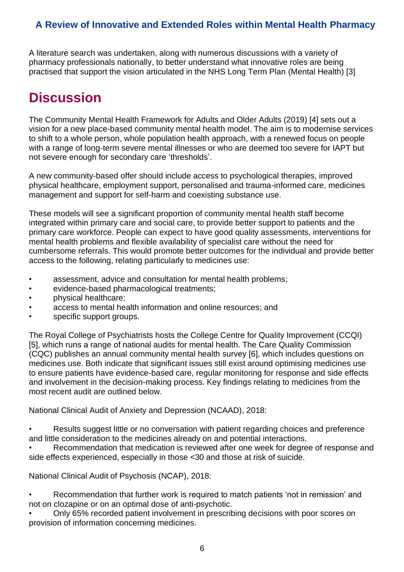A literature search was undertaken, along with numerous discussions with a variety of pharmacy professionals nationally, to better understand what innovative roles are being practised that support the vision articulated in the NHS Long Term Plan (Mental Health) [3]

# <span id="page-5-0"></span>**Discussion**

The Community Mental Health Framework for Adults and Older Adults (2019) [4] sets out a vision for a new place-based community mental health model. The aim is to modernise services to shift to a whole person, whole population health approach, with a renewed focus on people with a range of long-term severe mental illnesses or who are deemed too severe for IAPT but not severe enough for secondary care 'thresholds'.

A new community-based offer should include access to psychological therapies, improved physical healthcare, employment support, personalised and trauma-informed care, medicines management and support for self-harm and coexisting substance use.

These models will see a significant proportion of community mental health staff become integrated within primary care and social care, to provide better support to patients and the primary care workforce. People can expect to have good quality assessments, interventions for mental health problems and flexible availability of specialist care without the need for cumbersome referrals. This would promote better outcomes for the individual and provide better access to the following, relating particularly to medicines use:

- assessment, advice and consultation for mental health problems;
- evidence-based pharmacological treatments;
- physical healthcare;
- access to mental health information and online resources; and
- specific support groups.

The Royal College of Psychiatrists hosts the College Centre for Quality Improvement (CCQI) [5], which runs a range of national audits for mental health. The Care Quality Commission (CQC) publishes an annual community mental health survey [6], which includes questions on medicines use. Both indicate that significant issues still exist around optimising medicines use to ensure patients have evidence-based care, regular monitoring for response and side effects and involvement in the decision-making process. Key findings relating to medicines from the most recent audit are outlined below.

National Clinical Audit of Anxiety and Depression (NCAAD), 2018:

Results suggest little or no conversation with patient regarding choices and preference and little consideration to the medicines already on and potential interactions.

• Recommendation that medication is reviewed after one week for degree of response and side effects experienced, especially in those <30 and those at risk of suicide.

National Clinical Audit of Psychosis (NCAP), 2018:

• Recommendation that further work is required to match patients 'not in remission' and not on clozapine or on an optimal dose of anti-psychotic.

• Only 65% recorded patient involvement in prescribing decisions with poor scores on provision of information concerning medicines.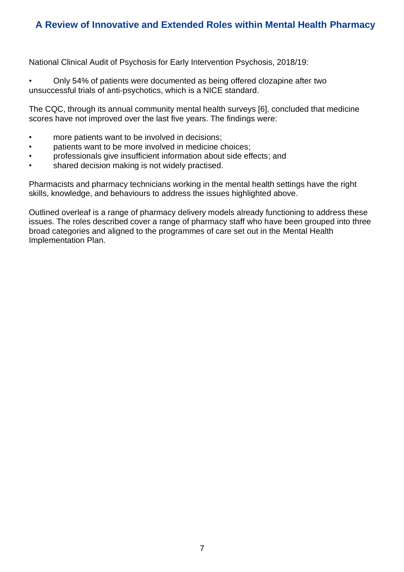National Clinical Audit of Psychosis for Early Intervention Psychosis, 2018/19:

• Only 54% of patients were documented as being offered clozapine after two unsuccessful trials of anti-psychotics, which is a NICE standard.

The CQC, through its annual community mental health surveys [6], concluded that medicine scores have not improved over the last five years. The findings were:

- more patients want to be involved in decisions;
- patients want to be more involved in medicine choices;
- professionals give insufficient information about side effects; and
- shared decision making is not widely practised.

Pharmacists and pharmacy technicians working in the mental health settings have the right skills, knowledge, and behaviours to address the issues highlighted above.

Outlined overleaf is a range of pharmacy delivery models already functioning to address these issues. The roles described cover a range of pharmacy staff who have been grouped into three broad categories and aligned to the programmes of care set out in the Mental Health Implementation Plan.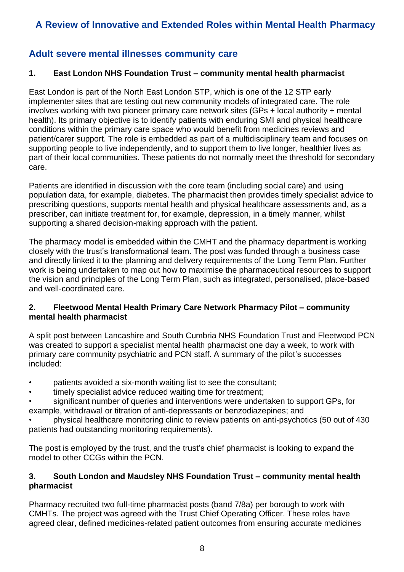### <span id="page-7-0"></span>**Adult severe mental illnesses community care**

#### **1. East London NHS Foundation Trust – community mental health pharmacist**

East London is part of the North East London STP, which is one of the 12 STP early implementer sites that are testing out new community models of integrated care. The role involves working with two pioneer primary care network sites (GPs + local authority + mental health). Its primary objective is to identify patients with enduring SMI and physical healthcare conditions within the primary care space who would benefit from medicines reviews and patient/carer support. The role is embedded as part of a multidisciplinary team and focuses on supporting people to live independently, and to support them to live longer, healthier lives as part of their local communities. These patients do not normally meet the threshold for secondary care.

Patients are identified in discussion with the core team (including social care) and using population data, for example, diabetes. The pharmacist then provides timely specialist advice to prescribing questions, supports mental health and physical healthcare assessments and, as a prescriber, can initiate treatment for, for example, depression, in a timely manner, whilst supporting a shared decision-making approach with the patient.

The pharmacy model is embedded within the CMHT and the pharmacy department is working closely with the trust's transformational team. The post was funded through a business case and directly linked it to the planning and delivery requirements of the Long Term Plan. Further work is being undertaken to map out how to maximise the pharmaceutical resources to support the vision and principles of the Long Term Plan, such as integrated, personalised, place-based and well-coordinated care.

#### **2. Fleetwood Mental Health Primary Care Network Pharmacy Pilot – community mental health pharmacist**

A split post between Lancashire and South Cumbria NHS Foundation Trust and Fleetwood PCN was created to support a specialist mental health pharmacist one day a week, to work with primary care community psychiatric and PCN staff. A summary of the pilot's successes included:

- patients avoided a six-month waiting list to see the consultant;
- timely specialist advice reduced waiting time for treatment;
- significant number of queries and interventions were undertaken to support GPs, for example, withdrawal or titration of anti-depressants or benzodiazepines; and

• physical healthcare monitoring clinic to review patients on anti-psychotics (50 out of 430 patients had outstanding monitoring requirements).

The post is employed by the trust, and the trust's chief pharmacist is looking to expand the model to other CCGs within the PCN.

#### **3. South London and Maudsley NHS Foundation Trust – community mental health pharmacist**

Pharmacy recruited two full-time pharmacist posts (band 7/8a) per borough to work with CMHTs. The project was agreed with the Trust Chief Operating Officer. These roles have agreed clear, defined medicines-related patient outcomes from ensuring accurate medicines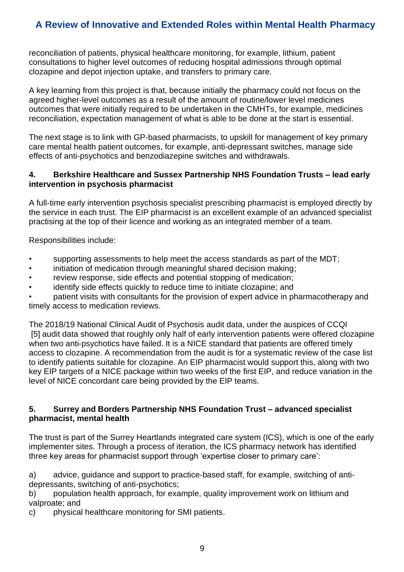reconciliation of patients, physical healthcare monitoring, for example, lithium, patient consultations to higher level outcomes of reducing hospital admissions through optimal clozapine and depot injection uptake, and transfers to primary care.

A key learning from this project is that, because initially the pharmacy could not focus on the agreed higher-level outcomes as a result of the amount of routine/lower level medicines outcomes that were initially required to be undertaken in the CMHTs, for example, medicines reconciliation, expectation management of what is able to be done at the start is essential.

The next stage is to link with GP-based pharmacists, to upskill for management of key primary care mental health patient outcomes, for example, anti-depressant switches, manage side effects of anti-psychotics and benzodiazepine switches and withdrawals.

#### **4. Berkshire Healthcare and Sussex Partnership NHS Foundation Trusts – lead early intervention in psychosis pharmacist**

A full-time early intervention psychosis specialist prescribing pharmacist is employed directly by the service in each trust. The EIP pharmacist is an excellent example of an advanced specialist practising at the top of their licence and working as an integrated member of a team.

Responsibilities include:

- supporting assessments to help meet the access standards as part of the MDT;
- initiation of medication through meaningful shared decision making;
- review response, side effects and potential stopping of medication;
- identify side effects quickly to reduce time to initiate clozapine; and

• patient visits with consultants for the provision of expert advice in pharmacotherapy and timely access to medication reviews.

The 2018/19 National Clinical Audit of Psychosis audit data, under the auspices of CCQI [5] audit data showed that roughly only half of early intervention patients were offered clozapine when two anti-psychotics have failed. It is a NICE standard that patients are offered timely access to clozapine. A recommendation from the audit is for a systematic review of the case list to identify patients suitable for clozapine. An EIP pharmacist would support this, along with two key EIP targets of a NICE package within two weeks of the first EIP, and reduce variation in the level of NICE concordant care being provided by the EIP teams.

#### **5. Surrey and Borders Partnership NHS Foundation Trust – advanced specialist pharmacist, mental health**

The trust is part of the Surrey Heartlands integrated care system (ICS), which is one of the early implementer sites. Through a process of iteration, the ICS pharmacy network has identified three key areas for pharmacist support through 'expertise closer to primary care':

a) advice, guidance and support to practice-based staff, for example, switching of antidepressants, switching of anti-psychotics;

b) population health approach, for example, quality improvement work on lithium and valproate; and

c) physical healthcare monitoring for SMI patients.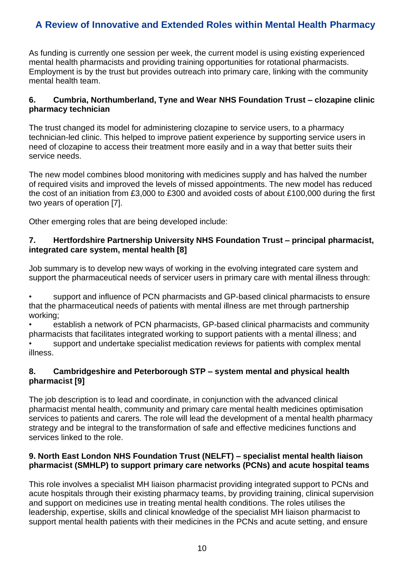As funding is currently one session per week, the current model is using existing experienced mental health pharmacists and providing training opportunities for rotational pharmacists. Employment is by the trust but provides outreach into primary care, linking with the community mental health team.

#### **6. Cumbria, Northumberland, Tyne and Wear NHS Foundation Trust – clozapine clinic pharmacy technician**

The trust changed its model for administering clozapine to service users, to a pharmacy technician-led clinic. This helped to improve patient experience by supporting service users in need of clozapine to access their treatment more easily and in a way that better suits their service needs.

The new model combines blood monitoring with medicines supply and has halved the number of required visits and improved the levels of missed appointments. The new model has reduced the cost of an initiation from £3,000 to £300 and avoided costs of about £100,000 during the first two years of operation [7].

Other emerging roles that are being developed include:

#### **7. Hertfordshire Partnership University NHS Foundation Trust – principal pharmacist, integrated care system, mental health [8]**

Job summary is to develop new ways of working in the evolving integrated care system and support the pharmaceutical needs of servicer users in primary care with mental illness through:

• support and influence of PCN pharmacists and GP-based clinical pharmacists to ensure that the pharmaceutical needs of patients with mental illness are met through partnership working;

• establish a network of PCN pharmacists, GP-based clinical pharmacists and community pharmacists that facilitates integrated working to support patients with a mental illness; and • support and undertake specialist medication reviews for patients with complex mental illness.

#### **8. Cambridgeshire and Peterborough STP – system mental and physical health pharmacist [9]**

The job description is to lead and coordinate, in conjunction with the advanced clinical pharmacist mental health, community and primary care mental health medicines optimisation services to patients and carers. The role will lead the development of a mental health pharmacy strategy and be integral to the transformation of safe and effective medicines functions and services linked to the role.

#### **9. North East London NHS Foundation Trust (NELFT) – specialist mental health liaison pharmacist (SMHLP) to support primary care networks (PCNs) and acute hospital teams**

This role involves a specialist MH liaison pharmacist providing integrated support to PCNs and acute hospitals through their existing pharmacy teams, by providing training, clinical supervision and support on medicines use in treating mental health conditions. The roles utilises the leadership, expertise, skills and clinical knowledge of the specialist MH liaison pharmacist to support mental health patients with their medicines in the PCNs and acute setting, and ensure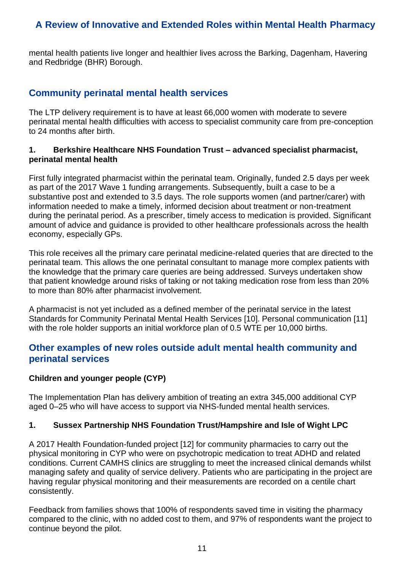<span id="page-10-0"></span>mental health patients live longer and healthier lives across the Barking, Dagenham, Havering and Redbridge (BHR) Borough.

#### **Community perinatal mental health services**

The LTP delivery requirement is to have at least 66,000 women with moderate to severe perinatal mental health difficulties with access to specialist community care from pre-conception to 24 months after birth.

#### **1. Berkshire Healthcare NHS Foundation Trust – advanced specialist pharmacist, perinatal mental health**

First fully integrated pharmacist within the perinatal team. Originally, funded 2.5 days per week as part of the 2017 Wave 1 funding arrangements. Subsequently, built a case to be a substantive post and extended to 3.5 days. The role supports women (and partner/carer) with information needed to make a timely, informed decision about treatment or non-treatment during the perinatal period. As a prescriber, timely access to medication is provided. Significant amount of advice and guidance is provided to other healthcare professionals across the health economy, especially GPs.

This role receives all the primary care perinatal medicine-related queries that are directed to the perinatal team. This allows the one perinatal consultant to manage more complex patients with the knowledge that the primary care queries are being addressed. Surveys undertaken show that patient knowledge around risks of taking or not taking medication rose from less than 20% to more than 80% after pharmacist involvement.

A pharmacist is not yet included as a defined member of the perinatal service in the latest Standards for Community Perinatal Mental Health Services [10]. Personal communication [11] with the role holder supports an initial workforce plan of 0.5 WTE per 10,000 births.

#### <span id="page-10-1"></span>**Other examples of new roles outside adult mental health community and perinatal services**

#### <span id="page-10-2"></span>**Children and younger people (CYP)**

The Implementation Plan has delivery ambition of treating an extra 345,000 additional CYP aged 0–25 who will have access to support via NHS-funded mental health services.

#### **1. Sussex Partnership NHS Foundation Trust/Hampshire and Isle of Wight LPC**

A 2017 Health Foundation-funded project [12] for community pharmacies to carry out the physical monitoring in CYP who were on psychotropic medication to treat ADHD and related conditions. Current CAMHS clinics are struggling to meet the increased clinical demands whilst managing safety and quality of service delivery. Patients who are participating in the project are having regular physical monitoring and their measurements are recorded on a centile chart consistently.

Feedback from families shows that 100% of respondents saved time in visiting the pharmacy compared to the clinic, with no added cost to them, and 97% of respondents want the project to continue beyond the pilot.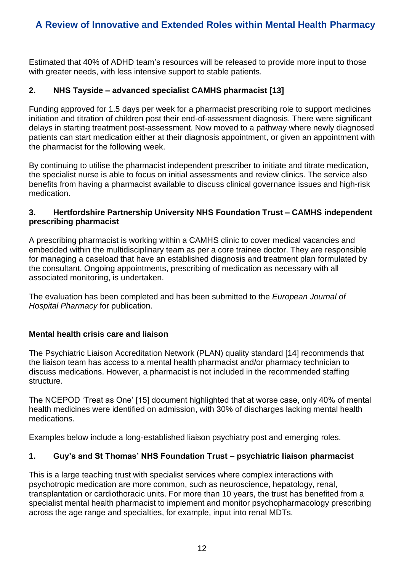Estimated that 40% of ADHD team's resources will be released to provide more input to those with greater needs, with less intensive support to stable patients.

#### **2. NHS Tayside – advanced specialist CAMHS pharmacist [13]**

Funding approved for 1.5 days per week for a pharmacist prescribing role to support medicines initiation and titration of children post their end-of-assessment diagnosis. There were significant delays in starting treatment post-assessment. Now moved to a pathway where newly diagnosed patients can start medication either at their diagnosis appointment, or given an appointment with the pharmacist for the following week.

By continuing to utilise the pharmacist independent prescriber to initiate and titrate medication, the specialist nurse is able to focus on initial assessments and review clinics. The service also benefits from having a pharmacist available to discuss clinical governance issues and high-risk medication.

#### **3. Hertfordshire Partnership University NHS Foundation Trust – CAMHS independent prescribing pharmacist**

A prescribing pharmacist is working within a CAMHS clinic to cover medical vacancies and embedded within the multidisciplinary team as per a core trainee doctor. They are responsible for managing a caseload that have an established diagnosis and treatment plan formulated by the consultant. Ongoing appointments, prescribing of medication as necessary with all associated monitoring, is undertaken.

The evaluation has been completed and has been submitted to the *European Journal of Hospital Pharmacy* for publication.

#### <span id="page-11-0"></span>**Mental health crisis care and liaison**

The Psychiatric Liaison Accreditation Network (PLAN) quality standard [14] recommends that the liaison team has access to a mental health pharmacist and/or pharmacy technician to discuss medications. However, a pharmacist is not included in the recommended staffing structure.

The NCEPOD 'Treat as One' [15] document highlighted that at worse case, only 40% of mental health medicines were identified on admission, with 30% of discharges lacking mental health medications.

Examples below include a long-established liaison psychiatry post and emerging roles.

#### **1. Guy's and St Thomas' NHS Foundation Trust – psychiatric liaison pharmacist**

This is a large teaching trust with specialist services where complex interactions with psychotropic medication are more common, such as neuroscience, hepatology, renal, transplantation or cardiothoracic units. For more than 10 years, the trust has benefited from a specialist mental health pharmacist to implement and monitor psychopharmacology prescribing across the age range and specialties, for example, input into renal MDTs.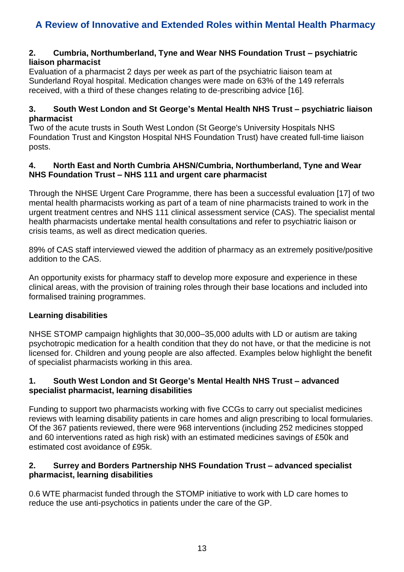#### **2. Cumbria, Northumberland, Tyne and Wear NHS Foundation Trust – psychiatric liaison pharmacist**

Evaluation of a pharmacist 2 days per week as part of the psychiatric liaison team at Sunderland Royal hospital. Medication changes were made on 63% of the 149 referrals received, with a third of these changes relating to de-prescribing advice [16].

#### **3. South West London and St George's Mental Health NHS Trust – psychiatric liaison pharmacist**

Two of the acute trusts in South West London (St George's University Hospitals NHS Foundation Trust and Kingston Hospital NHS Foundation Trust) have created full-time liaison posts.

#### **4. North East and North Cumbria AHSN/Cumbria, Northumberland, Tyne and Wear NHS Foundation Trust – NHS 111 and urgent care pharmacist**

Through the NHSE Urgent Care Programme, there has been a successful evaluation [17] of two mental health pharmacists working as part of a team of nine pharmacists trained to work in the urgent treatment centres and NHS 111 clinical assessment service (CAS). The specialist mental health pharmacists undertake mental health consultations and refer to psychiatric liaison or crisis teams, as well as direct medication queries.

89% of CAS staff interviewed viewed the addition of pharmacy as an extremely positive/positive addition to the CAS.

An opportunity exists for pharmacy staff to develop more exposure and experience in these clinical areas, with the provision of training roles through their base locations and included into formalised training programmes.

#### <span id="page-12-0"></span>**Learning disabilities**

NHSE STOMP campaign highlights that 30,000–35,000 adults with LD or autism are taking psychotropic medication for a health condition that they do not have, or that the medicine is not licensed for. Children and young people are also affected. Examples below highlight the benefit of specialist pharmacists working in this area.

#### **1. South West London and St George's Mental Health NHS Trust – advanced specialist pharmacist, learning disabilities**

Funding to support two pharmacists working with five CCGs to carry out specialist medicines reviews with learning disability patients in care homes and align prescribing to local formularies. Of the 367 patients reviewed, there were 968 interventions (including 252 medicines stopped and 60 interventions rated as high risk) with an estimated medicines savings of £50k and estimated cost avoidance of £95k.

#### **2. Surrey and Borders Partnership NHS Foundation Trust – advanced specialist pharmacist, learning disabilities**

0.6 WTE pharmacist funded through the STOMP initiative to work with LD care homes to reduce the use anti-psychotics in patients under the care of the GP.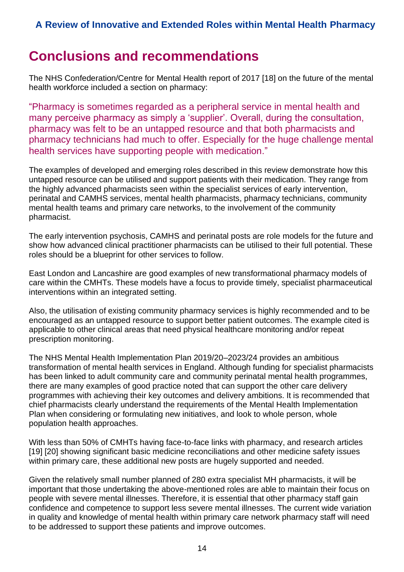# <span id="page-13-0"></span>**Conclusions and recommendations**

The NHS Confederation/Centre for Mental Health report of 2017 [18] on the future of the mental health workforce included a section on pharmacy:

"Pharmacy is sometimes regarded as a peripheral service in mental health and many perceive pharmacy as simply a 'supplier'. Overall, during the consultation, pharmacy was felt to be an untapped resource and that both pharmacists and pharmacy technicians had much to offer. Especially for the huge challenge mental health services have supporting people with medication."

The examples of developed and emerging roles described in this review demonstrate how this untapped resource can be utilised and support patients with their medication. They range from the highly advanced pharmacists seen within the specialist services of early intervention, perinatal and CAMHS services, mental health pharmacists, pharmacy technicians, community mental health teams and primary care networks, to the involvement of the community pharmacist.

The early intervention psychosis, CAMHS and perinatal posts are role models for the future and show how advanced clinical practitioner pharmacists can be utilised to their full potential. These roles should be a blueprint for other services to follow.

East London and Lancashire are good examples of new transformational pharmacy models of care within the CMHTs. These models have a focus to provide timely, specialist pharmaceutical interventions within an integrated setting.

Also, the utilisation of existing community pharmacy services is highly recommended and to be encouraged as an untapped resource to support better patient outcomes. The example cited is applicable to other clinical areas that need physical healthcare monitoring and/or repeat prescription monitoring.

The NHS Mental Health Implementation Plan 2019/20–2023/24 provides an ambitious transformation of mental health services in England. Although funding for specialist pharmacists has been linked to adult community care and community perinatal mental health programmes, there are many examples of good practice noted that can support the other care delivery programmes with achieving their key outcomes and delivery ambitions. It is recommended that chief pharmacists clearly understand the requirements of the Mental Health Implementation Plan when considering or formulating new initiatives, and look to whole person, whole population health approaches.

With less than 50% of CMHTs having face-to-face links with pharmacy, and research articles [19] [20] showing significant basic medicine reconciliations and other medicine safety issues within primary care, these additional new posts are hugely supported and needed.

Given the relatively small number planned of 280 extra specialist MH pharmacists, it will be important that those undertaking the above-mentioned roles are able to maintain their focus on people with severe mental illnesses. Therefore, it is essential that other pharmacy staff gain confidence and competence to support less severe mental illnesses. The current wide variation in quality and knowledge of mental health within primary care network pharmacy staff will need to be addressed to support these patients and improve outcomes.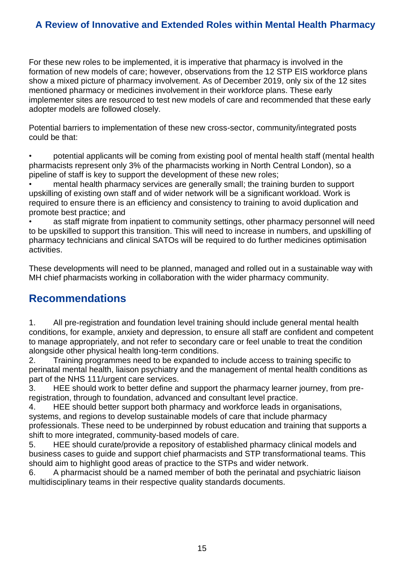For these new roles to be implemented, it is imperative that pharmacy is involved in the formation of new models of care; however, observations from the 12 STP EIS workforce plans show a mixed picture of pharmacy involvement. As of December 2019, only six of the 12 sites mentioned pharmacy or medicines involvement in their workforce plans. These early implementer sites are resourced to test new models of care and recommended that these early adopter models are followed closely.

Potential barriers to implementation of these new cross-sector, community/integrated posts could be that:

• potential applicants will be coming from existing pool of mental health staff (mental health pharmacists represent only 3% of the pharmacists working in North Central London), so a pipeline of staff is key to support the development of these new roles;

• mental health pharmacy services are generally small; the training burden to support upskilling of existing own staff and of wider network will be a significant workload. Work is required to ensure there is an efficiency and consistency to training to avoid duplication and promote best practice; and

• as staff migrate from inpatient to community settings, other pharmacy personnel will need to be upskilled to support this transition. This will need to increase in numbers, and upskilling of pharmacy technicians and clinical SATOs will be required to do further medicines optimisation activities.

These developments will need to be planned, managed and rolled out in a sustainable way with MH chief pharmacists working in collaboration with the wider pharmacy community.

### **Recommendations**

1. All pre-registration and foundation level training should include general mental health conditions, for example, anxiety and depression, to ensure all staff are confident and competent to manage appropriately, and not refer to secondary care or feel unable to treat the condition alongside other physical health long-term conditions.

2. Training programmes need to be expanded to include access to training specific to perinatal mental health, liaison psychiatry and the management of mental health conditions as part of the NHS 111/urgent care services.

3. HEE should work to better define and support the pharmacy learner journey, from preregistration, through to foundation, advanced and consultant level practice.

4. HEE should better support both pharmacy and workforce leads in organisations, systems, and regions to develop sustainable models of care that include pharmacy professionals. These need to be underpinned by robust education and training that supports a shift to more integrated, community-based models of care.

5. HEE should curate/provide a repository of established pharmacy clinical models and business cases to guide and support chief pharmacists and STP transformational teams. This should aim to highlight good areas of practice to the STPs and wider network.

6. A pharmacist should be a named member of both the perinatal and psychiatric liaison multidisciplinary teams in their respective quality standards documents.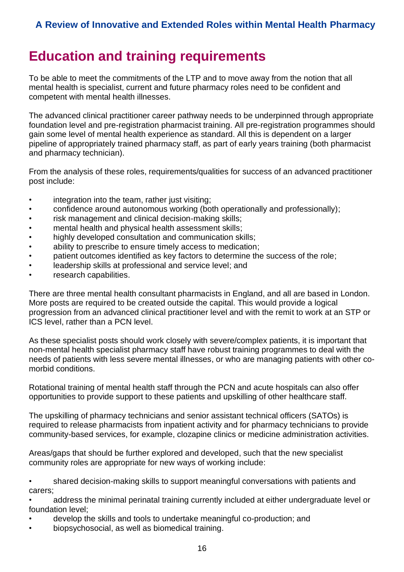# <span id="page-15-0"></span>**Education and training requirements**

To be able to meet the commitments of the LTP and to move away from the notion that all mental health is specialist, current and future pharmacy roles need to be confident and competent with mental health illnesses.

The advanced clinical practitioner career pathway needs to be underpinned through appropriate foundation level and pre-registration pharmacist training. All pre-registration programmes should gain some level of mental health experience as standard. All this is dependent on a larger pipeline of appropriately trained pharmacy staff, as part of early years training (both pharmacist and pharmacy technician).

From the analysis of these roles, requirements/qualities for success of an advanced practitioner post include:

- integration into the team, rather just visiting;
- confidence around autonomous working (both operationally and professionally);
- risk management and clinical decision-making skills;
- mental health and physical health assessment skills;
- highly developed consultation and communication skills;
- ability to prescribe to ensure timely access to medication;
- patient outcomes identified as key factors to determine the success of the role;
- leadership skills at professional and service level; and
- research capabilities.

There are three mental health consultant pharmacists in England, and all are based in London. More posts are required to be created outside the capital. This would provide a logical progression from an advanced clinical practitioner level and with the remit to work at an STP or ICS level, rather than a PCN level.

As these specialist posts should work closely with severe/complex patients, it is important that non-mental health specialist pharmacy staff have robust training programmes to deal with the needs of patients with less severe mental illnesses, or who are managing patients with other comorbid conditions.

Rotational training of mental health staff through the PCN and acute hospitals can also offer opportunities to provide support to these patients and upskilling of other healthcare staff.

The upskilling of pharmacy technicians and senior assistant technical officers (SATOs) is required to release pharmacists from inpatient activity and for pharmacy technicians to provide community-based services, for example, clozapine clinics or medicine administration activities.

Areas/gaps that should be further explored and developed, such that the new specialist community roles are appropriate for new ways of working include:

• shared decision-making skills to support meaningful conversations with patients and carers;

• address the minimal perinatal training currently included at either undergraduate level or foundation level;

- develop the skills and tools to undertake meaningful co-production; and
- biopsychosocial, as well as biomedical training.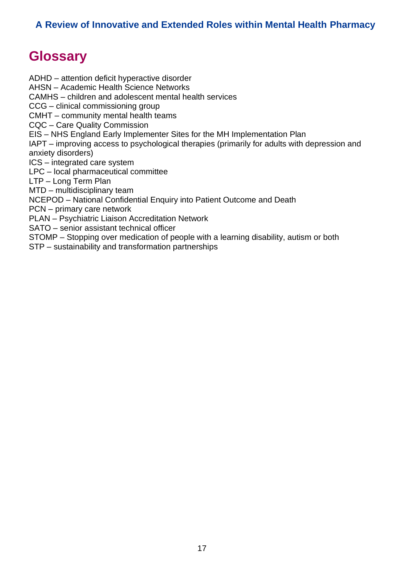# <span id="page-16-0"></span>**Glossary**

ADHD – attention deficit hyperactive disorder AHSN – Academic Health Science Networks CAMHS – children and adolescent mental health services CCG – clinical commissioning group CMHT – community mental health teams CQC – Care Quality Commission EIS – NHS England Early Implementer Sites for the MH Implementation Plan IAPT – improving access to psychological therapies (primarily for adults with depression and anxiety disorders) ICS – integrated care system LPC – local pharmaceutical committee LTP – Long Term Plan MTD – multidisciplinary team NCEPOD – National Confidential Enquiry into Patient Outcome and Death PCN – primary care network PLAN – Psychiatric Liaison Accreditation Network SATO – senior assistant technical officer STOMP – Stopping over medication of people with a learning disability, autism or both STP – sustainability and transformation partnerships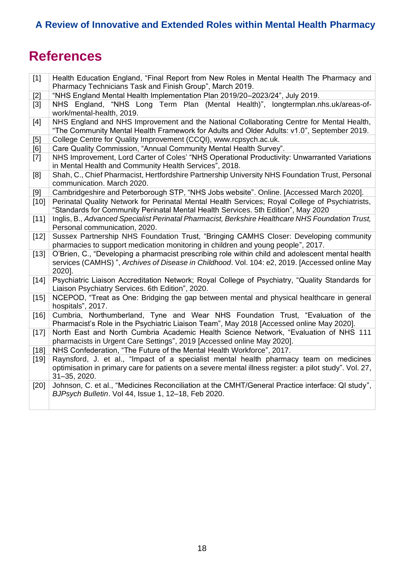# <span id="page-17-0"></span>**References**

| $[1]$  | Health Education England, "Final Report from New Roles in Mental Health The Pharmacy and                                                                                               |  |  |  |
|--------|----------------------------------------------------------------------------------------------------------------------------------------------------------------------------------------|--|--|--|
|        | Pharmacy Technicians Task and Finish Group", March 2019.                                                                                                                               |  |  |  |
| $[2]$  | "NHS England Mental Health Implementation Plan 2019/20-2023/24", July 2019.                                                                                                            |  |  |  |
| $[3]$  | NHS England, "NHS Long Term Plan (Mental Health)", longtermplan.nhs.uk/areas-of-<br>work/mental-health, 2019.                                                                          |  |  |  |
| $[4]$  | NHS England and NHS Improvement and the National Collaborating Centre for Mental Health,<br>"The Community Mental Health Framework for Adults and Older Adults: v1.0", September 2019. |  |  |  |
| [5]    | College Centre for Quality Improvement (CCQI), www.rcpsych.ac.uk.                                                                                                                      |  |  |  |
| [6]    | Care Quality Commission, "Annual Community Mental Health Survey".                                                                                                                      |  |  |  |
| $[7]$  | NHS Improvement, Lord Carter of Coles' "NHS Operational Productivity: Unwarranted Variations                                                                                           |  |  |  |
|        | in Mental Health and Community Health Services", 2018.                                                                                                                                 |  |  |  |
| [8]    | Shah, C., Chief Pharmacist, Hertfordshire Partnership University NHS Foundation Trust, Personal                                                                                        |  |  |  |
| [9]    | communication. March 2020.<br>Cambridgeshire and Peterborough STP, "NHS Jobs website". Online. [Accessed March 2020].                                                                  |  |  |  |
| $[10]$ | Perinatal Quality Network for Perinatal Mental Health Services; Royal College of Psychiatrists,                                                                                        |  |  |  |
|        | "Standards for Community Perinatal Mental Health Services. 5th Edition", May 2020                                                                                                      |  |  |  |
| $[11]$ | Inglis, B., Advanced Specialist Perinatal Pharmacist, Berkshire Healthcare NHS Foundation Trust,                                                                                       |  |  |  |
|        | Personal communication, 2020.                                                                                                                                                          |  |  |  |
| $[12]$ | Sussex Partnership NHS Foundation Trust, "Bringing CAMHS Closer: Developing community                                                                                                  |  |  |  |
|        | pharmacies to support medication monitoring in children and young people", 2017.                                                                                                       |  |  |  |
| $[13]$ | O'Brien, C., "Developing a pharmacist prescribing role within child and adolescent mental health                                                                                       |  |  |  |
|        | services (CAMHS)", Archives of Disease in Childhood. Vol. 104: e2, 2019. [Accessed online May<br>2020].                                                                                |  |  |  |
| $[14]$ | Psychiatric Liaison Accreditation Network; Royal College of Psychiatry, "Quality Standards for<br>Liaison Psychiatry Services. 6th Edition", 2020.                                     |  |  |  |
| $[15]$ | NCEPOD, "Treat as One: Bridging the gap between mental and physical healthcare in general                                                                                              |  |  |  |
|        | hospitals", 2017.                                                                                                                                                                      |  |  |  |
| $[16]$ | Cumbria, Northumberland, Tyne and Wear NHS Foundation Trust, "Evaluation of the<br>Pharmacist's Role in the Psychiatric Liaison Team", May 2018 [Accessed online May 2020].            |  |  |  |
| $[17]$ | North East and North Cumbria Academic Health Science Network, "Evaluation of NHS 111                                                                                                   |  |  |  |
|        | pharmacists in Urgent Care Settings", 2019 [Accessed online May 2020].                                                                                                                 |  |  |  |
| $[18]$ | NHS Confederation, "The Future of the Mental Health Workforce", 2017.                                                                                                                  |  |  |  |
| $[19]$ | Raynsford, J. et al., "Impact of a specialist mental health pharmacy team on medicines                                                                                                 |  |  |  |
|        | optimisation in primary care for patients on a severe mental illness register: a pilot study". Vol. 27,<br>31-35, 2020.                                                                |  |  |  |
| [20]   | Johnson, C. et al., "Medicines Reconciliation at the CMHT/General Practice interface: QI study",                                                                                       |  |  |  |
|        | BJPsych Bulletin. Vol 44, Issue 1, 12-18, Feb 2020.                                                                                                                                    |  |  |  |
|        |                                                                                                                                                                                        |  |  |  |
|        |                                                                                                                                                                                        |  |  |  |